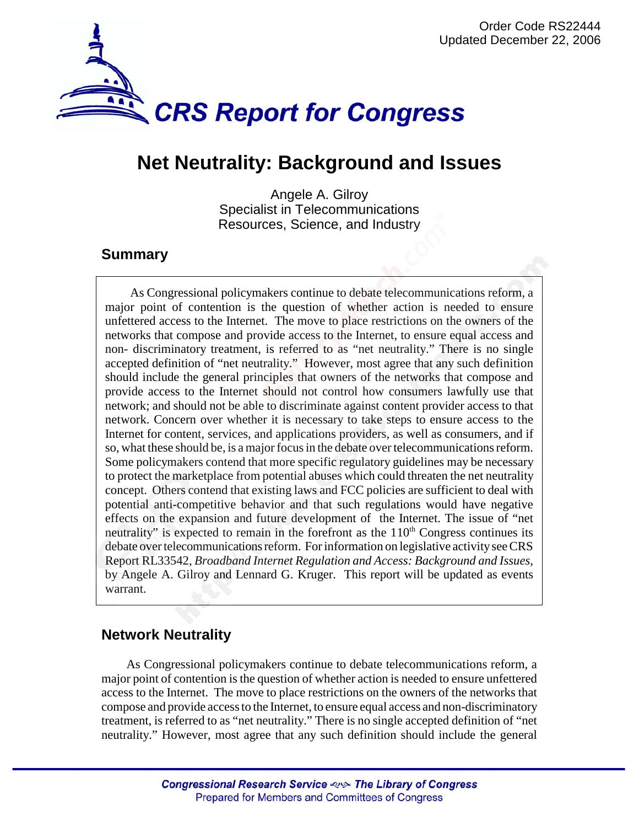

# **Net Neutrality: Background and Issues**

Angele A. Gilroy Specialist in Telecommunications Resources, Science, and Industry

### **Summary**

As Congressional policymakers continue to debate telecommunications reform, a major point of contention is the question of whether action is needed to ensure unfettered access to the Internet. The move to place restrictions on the owners of the networks that compose and provide access to the Internet, to ensure equal access and non- discriminatory treatment, is referred to as "net neutrality." There is no single accepted definition of "net neutrality." However, most agree that any such definition should include the general principles that owners of the networks that compose and provide access to the Internet should not control how consumers lawfully use that network; and should not be able to discriminate against content provider access to that network. Concern over whether it is necessary to take steps to ensure access to the Internet for content, services, and applications providers, as well as consumers, and if so, what these should be, is a major focus in the debate over telecommunications reform. Some policymakers contend that more specific regulatory guidelines may be necessary to protect the marketplace from potential abuses which could threaten the net neutrality concept. Others contend that existing laws and FCC policies are sufficient to deal with potential anti-competitive behavior and that such regulations would have negative effects on the expansion and future development of the Internet. The issue of "net neutrality" is expected to remain in the forefront as the  $110<sup>th</sup>$  Congress continues its debate over telecommunications reform. For information on legislative activity see CRS Report RL33542, *Broadband Internet Regulation and Access: Background and Issues*, by Angele A. Gilroy and Lennard G. Kruger. This report will be updated as events warrant.

## **Network Neutrality**

As Congressional policymakers continue to debate telecommunications reform, a major point of contention is the question of whether action is needed to ensure unfettered access to the Internet. The move to place restrictions on the owners of the networks that compose and provide access to the Internet, to ensure equal access and non-discriminatory treatment, is referred to as "net neutrality." There is no single accepted definition of "net neutrality." However, most agree that any such definition should include the general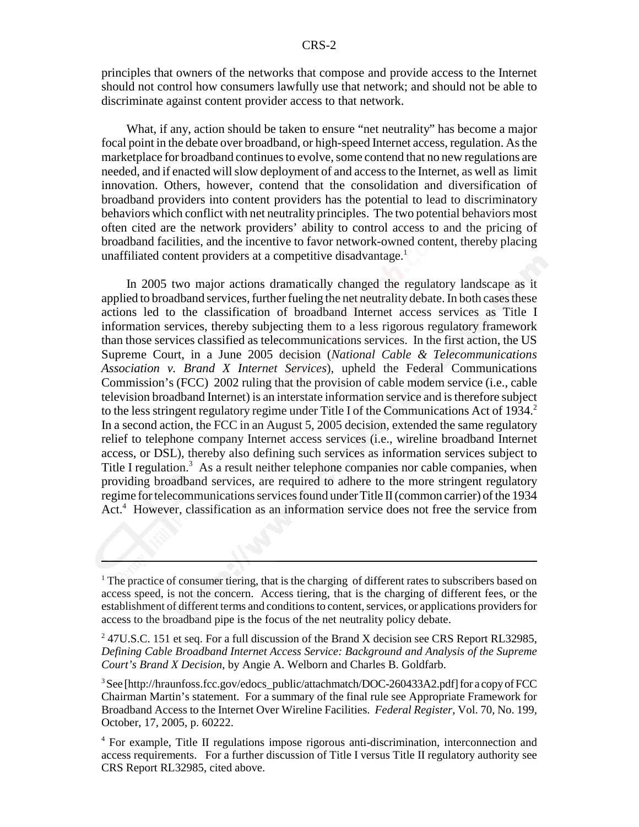principles that owners of the networks that compose and provide access to the Internet should not control how consumers lawfully use that network; and should not be able to discriminate against content provider access to that network.

What, if any, action should be taken to ensure "net neutrality" has become a major focal point in the debate over broadband, or high-speed Internet access, regulation. As the marketplace for broadband continues to evolve, some contend that no new regulations are needed, and if enacted will slow deployment of and access to the Internet, as well as limit innovation. Others, however, contend that the consolidation and diversification of broadband providers into content providers has the potential to lead to discriminatory behaviors which conflict with net neutrality principles. The two potential behaviors most often cited are the network providers' ability to control access to and the pricing of broadband facilities, and the incentive to favor network-owned content, thereby placing unaffiliated content providers at a competitive disadvantage. $<sup>1</sup>$ </sup>

In 2005 two major actions dramatically changed the regulatory landscape as it applied to broadband services, further fueling the net neutrality debate. In both cases these actions led to the classification of broadband Internet access services as Title I information services, thereby subjecting them to a less rigorous regulatory framework than those services classified as telecommunications services. In the first action, the US Supreme Court, in a June 2005 decision (*National Cable & Telecommunications Association v. Brand X Internet Services*), upheld the Federal Communications Commission's (FCC) 2002 ruling that the provision of cable modem service (i.e., cable television broadband Internet) is an interstate information service and is therefore subject to the less stringent regulatory regime under Title I of the Communications Act of 1934.<sup>2</sup> In a second action, the FCC in an August 5, 2005 decision, extended the same regulatory relief to telephone company Internet access services (i.e., wireline broadband Internet access, or DSL), thereby also defining such services as information services subject to Title I regulation.<sup>3</sup> As a result neither telephone companies nor cable companies, when providing broadband services, are required to adhere to the more stringent regulatory regime for telecommunications services found under Title II (common carrier) of the 1934 Act.<sup>4</sup> However, classification as an information service does not free the service from

 $1$ <sup>1</sup> The practice of consumer tiering, that is the charging of different rates to subscribers based on access speed, is not the concern. Access tiering, that is the charging of different fees, or the establishment of different terms and conditions to content, services, or applications providers for access to the broadband pipe is the focus of the net neutrality policy debate.

 $247$ U.S.C. 151 et seq. For a full discussion of the Brand X decision see CRS Report RL32985, *Defining Cable Broadband Internet Access Service: Background and Analysis of the Supreme Court's Brand X Decision*, by Angie A. Welborn and Charles B. Goldfarb.

<sup>&</sup>lt;sup>3</sup> See [http://hraunfoss.fcc.gov/edocs\_public/attachmatch/DOC-260433A2.pdf] for a copy of FCC Chairman Martin's statement. For a summary of the final rule see Appropriate Framework for Broadband Access to the Internet Over Wireline Facilities. *Federal Register*, Vol. 70, No. 199, October, 17, 2005, p. 60222.

<sup>4</sup> For example, Title II regulations impose rigorous anti-discrimination, interconnection and access requirements. For a further discussion of Title I versus Title II regulatory authority see CRS Report RL32985, cited above.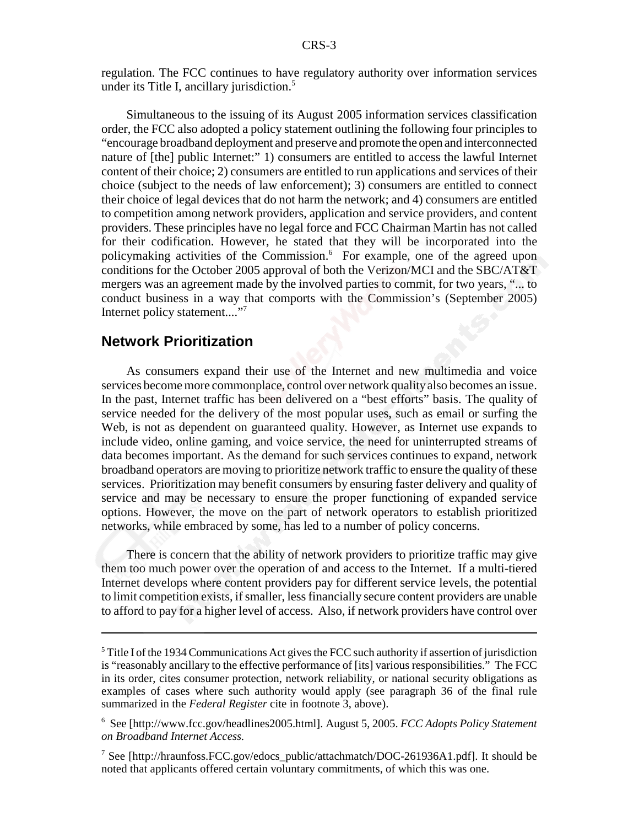regulation. The FCC continues to have regulatory authority over information services under its Title I, ancillary jurisdiction.<sup>5</sup>

Simultaneous to the issuing of its August 2005 information services classification order, the FCC also adopted a policy statement outlining the following four principles to "encourage broadband deployment and preserve and promote the open and interconnected nature of [the] public Internet:" 1) consumers are entitled to access the lawful Internet content of their choice; 2) consumers are entitled to run applications and services of their choice (subject to the needs of law enforcement); 3) consumers are entitled to connect their choice of legal devices that do not harm the network; and 4) consumers are entitled to competition among network providers, application and service providers, and content providers. These principles have no legal force and FCC Chairman Martin has not called for their codification. However, he stated that they will be incorporated into the policymaking activities of the Commission.<sup>6</sup> For example, one of the agreed upon conditions for the October 2005 approval of both the Verizon/MCI and the SBC/AT&T mergers was an agreement made by the involved parties to commit, for two years, "... to conduct business in a way that comports with the Commission's (September 2005) Internet policy statement...."<sup>7</sup>

#### **Network Prioritization**

As consumers expand their use of the Internet and new multimedia and voice services become more commonplace, control over network quality also becomes an issue. In the past, Internet traffic has been delivered on a "best efforts" basis. The quality of service needed for the delivery of the most popular uses, such as email or surfing the Web, is not as dependent on guaranteed quality. However, as Internet use expands to include video, online gaming, and voice service, the need for uninterrupted streams of data becomes important. As the demand for such services continues to expand, network broadband operators are moving to prioritize network traffic to ensure the quality of these services. Prioritization may benefit consumers by ensuring faster delivery and quality of service and may be necessary to ensure the proper functioning of expanded service options. However, the move on the part of network operators to establish prioritized networks, while embraced by some, has led to a number of policy concerns.

There is concern that the ability of network providers to prioritize traffic may give them too much power over the operation of and access to the Internet. If a multi-tiered Internet develops where content providers pay for different service levels, the potential to limit competition exists, if smaller, less financially secure content providers are unable to afford to pay for a higher level of access. Also, if network providers have control over

 $5$  Title I of the 1934 Communications Act gives the FCC such authority if assertion of jurisdiction is "reasonably ancillary to the effective performance of [its] various responsibilities." The FCC in its order, cites consumer protection, network reliability, or national security obligations as examples of cases where such authority would apply (see paragraph 36 of the final rule summarized in the *Federal Register* cite in footnote 3, above).

<sup>6</sup> See [http://www.fcc.gov/headlines2005.html]. August 5, 2005. *FCC Adopts Policy Statement on Broadband Internet Access.*

<sup>7</sup> See [http://hraunfoss.FCC.gov/edocs\_public/attachmatch/DOC-261936A1.pdf]. It should be noted that applicants offered certain voluntary commitments, of which this was one.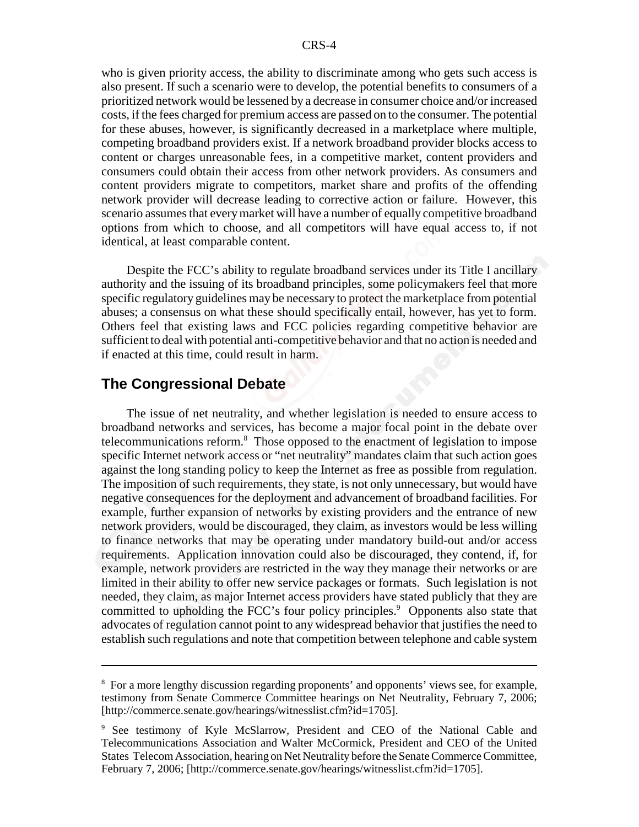who is given priority access, the ability to discriminate among who gets such access is also present. If such a scenario were to develop, the potential benefits to consumers of a prioritized network would be lessened by a decrease in consumer choice and/or increased costs, if the fees charged for premium access are passed on to the consumer. The potential for these abuses, however, is significantly decreased in a marketplace where multiple, competing broadband providers exist. If a network broadband provider blocks access to content or charges unreasonable fees, in a competitive market, content providers and consumers could obtain their access from other network providers. As consumers and content providers migrate to competitors, market share and profits of the offending network provider will decrease leading to corrective action or failure. However, this scenario assumes that every market will have a number of equally competitive broadband options from which to choose, and all competitors will have equal access to, if not identical, at least comparable content.

Despite the FCC's ability to regulate broadband services under its Title I ancillary authority and the issuing of its broadband principles, some policymakers feel that more specific regulatory guidelines may be necessary to protect the marketplace from potential abuses; a consensus on what these should specifically entail, however, has yet to form. Others feel that existing laws and FCC policies regarding competitive behavior are sufficient to deal with potential anti-competitive behavior and that no action is needed and if enacted at this time, could result in harm.

#### **The Congressional Debate**

The issue of net neutrality, and whether legislation is needed to ensure access to broadband networks and services, has become a major focal point in the debate over telecommunications reform.<sup>8</sup> Those opposed to the enactment of legislation to impose specific Internet network access or "net neutrality" mandates claim that such action goes against the long standing policy to keep the Internet as free as possible from regulation. The imposition of such requirements, they state, is not only unnecessary, but would have negative consequences for the deployment and advancement of broadband facilities. For example, further expansion of networks by existing providers and the entrance of new network providers, would be discouraged, they claim, as investors would be less willing to finance networks that may be operating under mandatory build-out and/or access requirements. Application innovation could also be discouraged, they contend, if, for example, network providers are restricted in the way they manage their networks or are limited in their ability to offer new service packages or formats. Such legislation is not needed, they claim, as major Internet access providers have stated publicly that they are committed to upholding the FCC's four policy principles.<sup>9</sup> Opponents also state that advocates of regulation cannot point to any widespread behavior that justifies the need to establish such regulations and note that competition between telephone and cable system

<sup>&</sup>lt;sup>8</sup> For a more lengthy discussion regarding proponents' and opponents' views see, for example, testimony from Senate Commerce Committee hearings on Net Neutrality, February 7, 2006; [http://commerce.senate.gov/hearings/witnesslist.cfm?id=1705].

<sup>&</sup>lt;sup>9</sup> See testimony of Kyle McSlarrow, President and CEO of the National Cable and Telecommunications Association and Walter McCormick, President and CEO of the United States Telecom Association, hearing on Net Neutrality before the Senate Commerce Committee, February 7, 2006; [http://commerce.senate.gov/hearings/witnesslist.cfm?id=1705].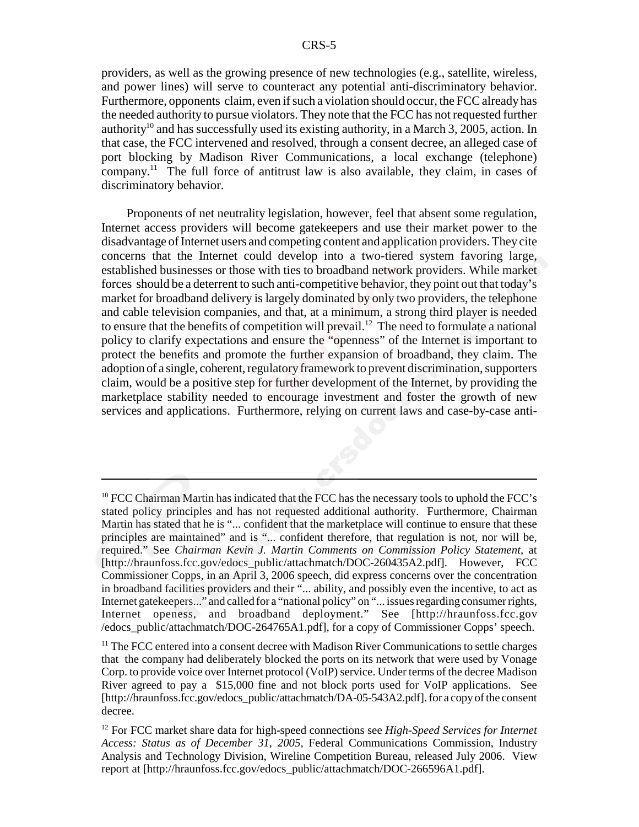providers, as well as the growing presence of new technologies (e.g., satellite, wireless, and power lines) will serve to counteract any potential anti-discriminatory behavior. Furthermore, opponents claim, even if such a violation should occur, the FCC already has the needed authority to pursue violators. They note that the FCC has not requested further authority<sup>10</sup> and has successfully used its existing authority, in a March 3, 2005, action. In that case, the FCC intervened and resolved, through a consent decree, an alleged case of port blocking by Madison River Communications, a local exchange (telephone) company.11 The full force of antitrust law is also available, they claim, in cases of discriminatory behavior.

Proponents of net neutrality legislation, however, feel that absent some regulation, Internet access providers will become gatekeepers and use their market power to the disadvantage of Internet users and competing content and application providers. They cite concerns that the Internet could develop into a two-tiered system favoring large, established businesses or those with ties to broadband network providers. While market forces should be a deterrent to such anti-competitive behavior, they point out that today's market for broadband delivery is largely dominated by only two providers, the telephone and cable television companies, and that, at a minimum, a strong third player is needed to ensure that the benefits of competition will prevail.<sup>12</sup> The need to formulate a national policy to clarify expectations and ensure the "openness" of the Internet is important to protect the benefits and promote the further expansion of broadband, they claim. The adoption of a single, coherent, regulatory framework to prevent discrimination, supporters claim, would be a positive step for further development of the Internet, by providing the marketplace stability needed to encourage investment and foster the growth of new services and applications. Furthermore, relying on current laws and case-by-case anti-

 $10$  FCC Chairman Martin has indicated that the FCC has the necessary tools to uphold the FCC's stated policy principles and has not requested additional authority. Furthermore, Chairman Martin has stated that he is "... confident that the marketplace will continue to ensure that these principles are maintained" and is "... confident therefore, that regulation is not, nor will be, required." See *Chairman Kevin J. Martin Comments on Commission Policy Statement*, at [http://hraunfoss.fcc.gov/edocs\_public/attachmatch/DOC-260435A2.pdf]. However, FCC Commissioner Copps, in an April 3, 2006 speech, did express concerns over the concentration in broadband facilities providers and their "... ability, and possibly even the incentive, to act as Internet gatekeepers..." and called for a "national policy" on "... issues regarding consumer rights, Internet openess, and broadband deployment." See [http://hraunfoss.fcc.gov /edocs\_public/attachmatch/DOC-264765A1.pdf], for a copy of Commissioner Copps' speech.

 $<sup>11</sup>$  The FCC entered into a consent decree with Madison River Communications to settle charges</sup> that the company had deliberately blocked the ports on its network that were used by Vonage Corp. to provide voice over Internet protocol (VoIP) service. Under terms of the decree Madison River agreed to pay a \$15,000 fine and not block ports used for VoIP applications. See [http://hraunfoss.fcc.gov/edocs\_public/attachmatch/DA-05-543A2.pdf]. for a copy of the consent decree.

<sup>12</sup> For FCC market share data for high-speed connections see *High-Speed Services for Internet Access: Status as of December 31, 2005,* Federal Communications Commission, Industry Analysis and Technology Division, Wireline Competition Bureau, released July 2006. View report at [http://hraunfoss.fcc.gov/edocs\_public/attachmatch/DOC-266596A1.pdf].